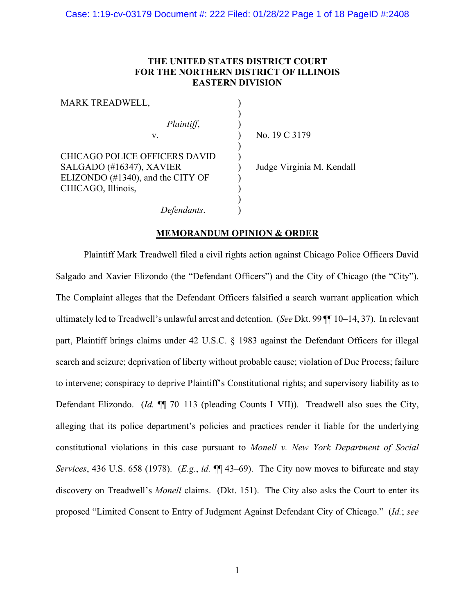# **THE UNITED STATES DISTRICT COURT FOR THE NORTHERN DISTRICT OF ILLINOIS EASTERN DIVISION**

| MARK TREADWELL,                   |                           |
|-----------------------------------|---------------------------|
| Plaintiff,                        |                           |
| v.                                | No. 19 C 3179             |
| CHICAGO POLICE OFFICERS DAVID     |                           |
| SALGADO (#16347), XAVIER          | Judge Virginia M. Kendall |
| ELIZONDO (#1340), and the CITY OF |                           |
| CHICAGO, Illinois,                |                           |
| Defendants.                       |                           |

# **MEMORANDUM OPINION & ORDER**

Plaintiff Mark Treadwell filed a civil rights action against Chicago Police Officers David Salgado and Xavier Elizondo (the "Defendant Officers") and the City of Chicago (the "City"). The Complaint alleges that the Defendant Officers falsified a search warrant application which ultimately led to Treadwell's unlawful arrest and detention. (*See* Dkt. 99 ¶¶ 10–14, 37). In relevant part, Plaintiff brings claims under 42 U.S.C. § 1983 against the Defendant Officers for illegal search and seizure; deprivation of liberty without probable cause; violation of Due Process; failure to intervene; conspiracy to deprive Plaintiff's Constitutional rights; and supervisory liability as to Defendant Elizondo. (*Id.* ¶¶ 70–113 (pleading Counts I–VII)). Treadwell also sues the City, alleging that its police department's policies and practices render it liable for the underlying constitutional violations in this case pursuant to *Monell v. New York Department of Social Services*, 436 U.S. 658 (1978). (*E.g.*, *id.* ¶¶ 43–69). The City now moves to bifurcate and stay discovery on Treadwell's *Monell* claims. (Dkt. 151). The City also asks the Court to enter its proposed "Limited Consent to Entry of Judgment Against Defendant City of Chicago." (*Id.*; *see*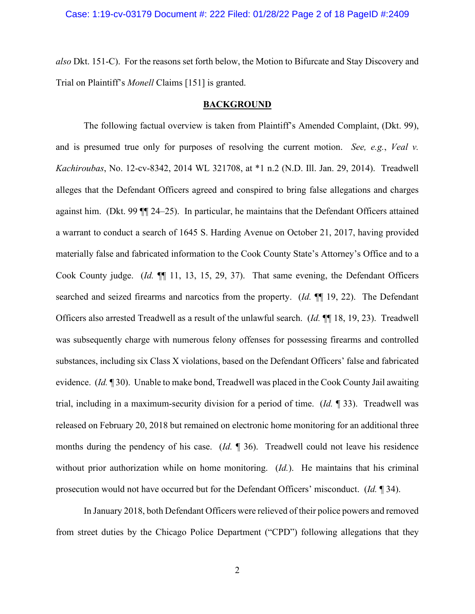#### Case: 1:19-cv-03179 Document #: 222 Filed: 01/28/22 Page 2 of 18 PageID #:2409

*also* Dkt. 151-C). For the reasons set forth below, the Motion to Bifurcate and Stay Discovery and Trial on Plaintiff's *Monell* Claims [151] is granted.

#### **BACKGROUND**

The following factual overview is taken from Plaintiff's Amended Complaint, (Dkt. 99), and is presumed true only for purposes of resolving the current motion. *See, e.g.*, *Veal v. Kachiroubas*, No. 12-cv-8342, 2014 WL 321708, at \*1 n.2 (N.D. Ill. Jan. 29, 2014). Treadwell alleges that the Defendant Officers agreed and conspired to bring false allegations and charges against him. (Dkt. 99 ¶¶ 24–25). In particular, he maintains that the Defendant Officers attained a warrant to conduct a search of 1645 S. Harding Avenue on October 21, 2017, having provided materially false and fabricated information to the Cook County State's Attorney's Office and to a Cook County judge. (*Id.* ¶¶ 11, 13, 15, 29, 37). That same evening, the Defendant Officers searched and seized firearms and narcotics from the property. (*Id.* ¶¶ 19, 22). The Defendant Officers also arrested Treadwell as a result of the unlawful search. (*Id.* ¶¶ 18, 19, 23). Treadwell was subsequently charge with numerous felony offenses for possessing firearms and controlled substances, including six Class X violations, based on the Defendant Officers' false and fabricated evidence. (*Id.* ¶ 30). Unable to make bond, Treadwell was placed in the Cook County Jail awaiting trial, including in a maximum-security division for a period of time. (*Id.* ¶ 33). Treadwell was released on February 20, 2018 but remained on electronic home monitoring for an additional three months during the pendency of his case. (*Id.* ¶ 36). Treadwell could not leave his residence without prior authorization while on home monitoring. (*Id.*). He maintains that his criminal prosecution would not have occurred but for the Defendant Officers' misconduct. (*Id.* ¶ 34).

In January 2018, both Defendant Officers were relieved of their police powers and removed from street duties by the Chicago Police Department ("CPD") following allegations that they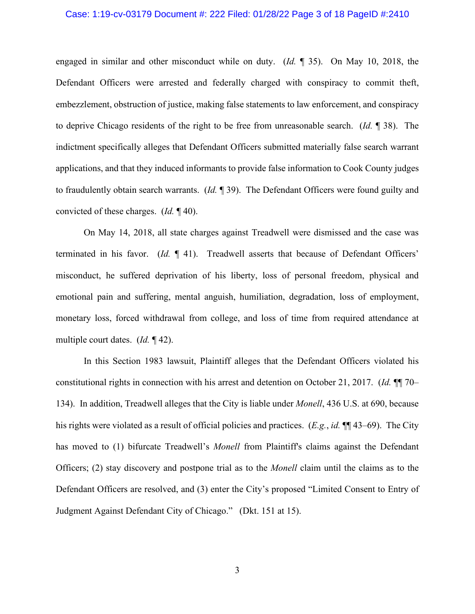#### Case: 1:19-cv-03179 Document #: 222 Filed: 01/28/22 Page 3 of 18 PageID #:2410

engaged in similar and other misconduct while on duty. (*Id.* ¶ 35). On May 10, 2018, the Defendant Officers were arrested and federally charged with conspiracy to commit theft, embezzlement, obstruction of justice, making false statements to law enforcement, and conspiracy to deprive Chicago residents of the right to be free from unreasonable search. (*Id.* ¶ 38). The indictment specifically alleges that Defendant Officers submitted materially false search warrant applications, and that they induced informants to provide false information to Cook County judges to fraudulently obtain search warrants. (*Id.* ¶ 39). The Defendant Officers were found guilty and convicted of these charges. (*Id.* ¶ 40).

On May 14, 2018, all state charges against Treadwell were dismissed and the case was terminated in his favor. (*Id.* ¶ 41). Treadwell asserts that because of Defendant Officers' misconduct, he suffered deprivation of his liberty, loss of personal freedom, physical and emotional pain and suffering, mental anguish, humiliation, degradation, loss of employment, monetary loss, forced withdrawal from college, and loss of time from required attendance at multiple court dates. (*Id.* ¶ 42).

In this Section 1983 lawsuit, Plaintiff alleges that the Defendant Officers violated his constitutional rights in connection with his arrest and detention on October 21, 2017. (*Id.* ¶¶ 70– 134). In addition, Treadwell alleges that the City is liable under *Monell*, 436 U.S. at 690, because his rights were violated as a result of official policies and practices. (*E.g.*, *id.* ¶¶ 43–69). The City has moved to (1) bifurcate Treadwell's *Monell* from Plaintiff's claims against the Defendant Officers; (2) stay discovery and postpone trial as to the *Monell* claim until the claims as to the Defendant Officers are resolved, and (3) enter the City's proposed "Limited Consent to Entry of Judgment Against Defendant City of Chicago." (Dkt. 151 at 15).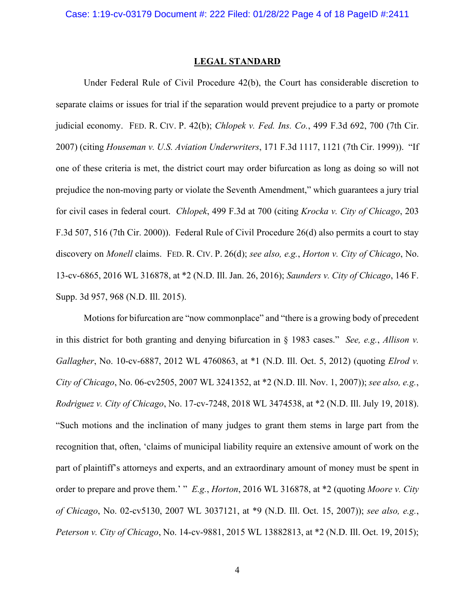#### **LEGAL STANDARD**

Under Federal Rule of Civil Procedure 42(b), the Court has considerable discretion to separate claims or issues for trial if the separation would prevent prejudice to a party or promote judicial economy. FED. R. CIV. P. 42(b); *Chlopek v. Fed. Ins. Co.*, 499 F.3d 692, 700 (7th Cir. 2007) (citing *Houseman v. U.S. Aviation Underwriters*, 171 F.3d 1117, 1121 (7th Cir. 1999)). "If one of these criteria is met, the district court may order bifurcation as long as doing so will not prejudice the non-moving party or violate the Seventh Amendment," which guarantees a jury trial for civil cases in federal court. *Chlopek*, 499 F.3d at 700 (citing *Krocka v. City of Chicago*, 203 F.3d 507, 516 (7th Cir. 2000)). Federal Rule of Civil Procedure 26(d) also permits a court to stay discovery on *Monell* claims. FED. R. CIV. P. 26(d); *see also, e.g.*, *Horton v. City of Chicago*, No. 13-cv-6865, 2016 WL 316878, at \*2 (N.D. Ill. Jan. 26, 2016); *Saunders v. City of Chicago*, 146 F. Supp. 3d 957, 968 (N.D. Ill. 2015).

Motions for bifurcation are "now commonplace" and "there is a growing body of precedent in this district for both granting and denying bifurcation in § 1983 cases." *See, e.g.*, *Allison v. Gallagher*, No. 10-cv-6887, 2012 WL 4760863, at \*1 (N.D. Ill. Oct. 5, 2012) (quoting *Elrod v. City of Chicago*, No. 06-cv2505, 2007 WL 3241352, at \*2 (N.D. Ill. Nov. 1, 2007)); *see also, e.g.*, *Rodriguez v. City of Chicago*, No. 17-cv-7248, 2018 WL 3474538, at \*2 (N.D. Ill. July 19, 2018). "Such motions and the inclination of many judges to grant them stems in large part from the recognition that, often, 'claims of municipal liability require an extensive amount of work on the part of plaintiff's attorneys and experts, and an extraordinary amount of money must be spent in order to prepare and prove them.' " *E.g.*, *Horton*, 2016 WL 316878, at \*2 (quoting *Moore v. City of Chicago*, No. 02-cv5130, 2007 WL 3037121, at \*9 (N.D. Ill. Oct. 15, 2007)); *see also, e.g.*, *Peterson v. City of Chicago*, No. 14-cv-9881, 2015 WL 13882813, at \*2 (N.D. Ill. Oct. 19, 2015);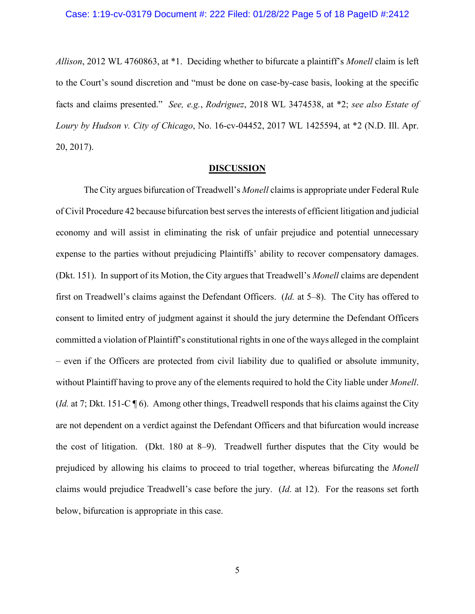*Allison*, 2012 WL 4760863, at \*1. Deciding whether to bifurcate a plaintiff's *Monell* claim is left to the Court's sound discretion and "must be done on case-by-case basis, looking at the specific facts and claims presented." *See, e.g.*, *Rodriguez*, 2018 WL 3474538, at \*2; *see also Estate of Loury by Hudson v. City of Chicago*, No. 16-cv-04452, 2017 WL 1425594, at \*2 (N.D. Ill. Apr. 20, 2017).

#### **DISCUSSION**

The City argues bifurcation of Treadwell's *Monell* claims is appropriate under Federal Rule of Civil Procedure 42 because bifurcation best serves the interests of efficient litigation and judicial economy and will assist in eliminating the risk of unfair prejudice and potential unnecessary expense to the parties without prejudicing Plaintiffs' ability to recover compensatory damages. (Dkt. 151). In support of its Motion, the City argues that Treadwell's *Monell* claims are dependent first on Treadwell's claims against the Defendant Officers. (*Id.* at 5–8). The City has offered to consent to limited entry of judgment against it should the jury determine the Defendant Officers committed a violation of Plaintiff's constitutional rights in one of the ways alleged in the complaint – even if the Officers are protected from civil liability due to qualified or absolute immunity, without Plaintiff having to prove any of the elements required to hold the City liable under *Monell*. (*Id.* at 7; Dkt. 151-C ¶ 6). Among other things, Treadwell responds that his claims against the City are not dependent on a verdict against the Defendant Officers and that bifurcation would increase the cost of litigation. (Dkt. 180 at 8–9). Treadwell further disputes that the City would be prejudiced by allowing his claims to proceed to trial together, whereas bifurcating the *Monell* claims would prejudice Treadwell's case before the jury. (*Id.* at 12). For the reasons set forth below, bifurcation is appropriate in this case.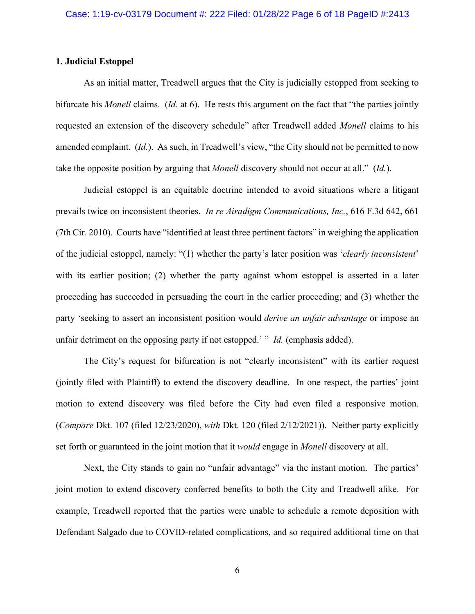# **1. Judicial Estoppel**

As an initial matter, Treadwell argues that the City is judicially estopped from seeking to bifurcate his *Monell* claims. (*Id.* at 6). He rests this argument on the fact that "the parties jointly requested an extension of the discovery schedule" after Treadwell added *Monell* claims to his amended complaint. (*Id.*). As such, in Treadwell's view, "the City should not be permitted to now take the opposite position by arguing that *Monell* discovery should not occur at all." (*Id.*).

Judicial estoppel is an equitable doctrine intended to avoid situations where a litigant prevails twice on inconsistent theories. *In re Airadigm Communications, Inc.*, 616 F.3d 642, 661 (7th Cir. 2010). Courts have "identified at least three pertinent factors" in weighing the application of the judicial estoppel, namely: "(1) whether the party's later position was '*clearly inconsistent*' with its earlier position; (2) whether the party against whom estoppel is asserted in a later proceeding has succeeded in persuading the court in the earlier proceeding; and (3) whether the party 'seeking to assert an inconsistent position would *derive an unfair advantage* or impose an unfair detriment on the opposing party if not estopped.' " *Id.* (emphasis added).

The City's request for bifurcation is not "clearly inconsistent" with its earlier request (jointly filed with Plaintiff) to extend the discovery deadline. In one respect, the parties' joint motion to extend discovery was filed before the City had even filed a responsive motion. (*Compare* Dkt. 107 (filed 12/23/2020), *with* Dkt. 120 (filed 2/12/2021)). Neither party explicitly set forth or guaranteed in the joint motion that it *would* engage in *Monell* discovery at all.

Next, the City stands to gain no "unfair advantage" via the instant motion. The parties' joint motion to extend discovery conferred benefits to both the City and Treadwell alike. For example, Treadwell reported that the parties were unable to schedule a remote deposition with Defendant Salgado due to COVID-related complications, and so required additional time on that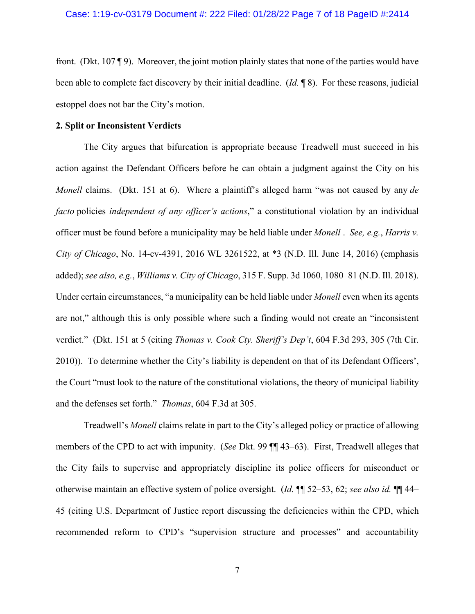front. (Dkt. 107 ¶ 9). Moreover, the joint motion plainly states that none of the parties would have been able to complete fact discovery by their initial deadline. (*Id.* ¶ 8). For these reasons, judicial estoppel does not bar the City's motion.

# **2. Split or Inconsistent Verdicts**

The City argues that bifurcation is appropriate because Treadwell must succeed in his action against the Defendant Officers before he can obtain a judgment against the City on his *Monell* claims. (Dkt. 151 at 6). Where a plaintiff's alleged harm "was not caused by any *de facto* policies *independent of any officer's actions*," a constitutional violation by an individual officer must be found before a municipality may be held liable under *Monell* . *See, e.g.*, *Harris v. City of Chicago*, No. 14-cv-4391, 2016 WL 3261522, at \*3 (N.D. Ill. June 14, 2016) (emphasis added); *see also, e.g.*, *Williams v. City of Chicago*, 315 F. Supp. 3d 1060, 1080–81 (N.D. Ill. 2018). Under certain circumstances, "a municipality can be held liable under *Monell* even when its agents are not," although this is only possible where such a finding would not create an "inconsistent verdict." (Dkt. 151 at 5 (citing *Thomas v. Cook Cty. Sheriff's Dep't*, 604 F.3d 293, 305 (7th Cir. 2010)). To determine whether the City's liability is dependent on that of its Defendant Officers', the Court "must look to the nature of the constitutional violations, the theory of municipal liability and the defenses set forth." *Thomas*, 604 F.3d at 305.

Treadwell's *Monell* claims relate in part to the City's alleged policy or practice of allowing members of the CPD to act with impunity. (*See* Dkt. 99 ¶¶ 43–63). First, Treadwell alleges that the City fails to supervise and appropriately discipline its police officers for misconduct or otherwise maintain an effective system of police oversight. (*Id.* ¶¶ 52–53, 62; *see also id.* ¶¶ 44– 45 (citing U.S. Department of Justice report discussing the deficiencies within the CPD, which recommended reform to CPD's "supervision structure and processes" and accountability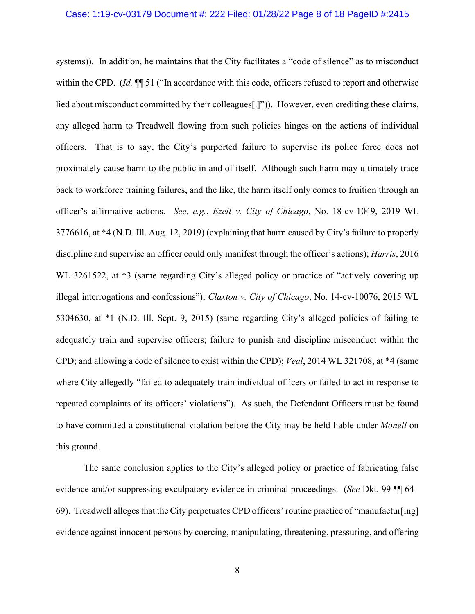#### Case: 1:19-cv-03179 Document #: 222 Filed: 01/28/22 Page 8 of 18 PageID #:2415

systems)). In addition, he maintains that the City facilitates a "code of silence" as to misconduct within the CPD. (*Id.* ¶¶ 51 ("In accordance with this code, officers refused to report and otherwise lied about misconduct committed by their colleagues<sup>[1]</sup>"). However, even crediting these claims, any alleged harm to Treadwell flowing from such policies hinges on the actions of individual officers. That is to say, the City's purported failure to supervise its police force does not proximately cause harm to the public in and of itself. Although such harm may ultimately trace back to workforce training failures, and the like, the harm itself only comes to fruition through an officer's affirmative actions. *See, e.g.*, *Ezell v. City of Chicago*, No. 18-cv-1049, 2019 WL 3776616, at \*4 (N.D. Ill. Aug. 12, 2019) (explaining that harm caused by City's failure to properly discipline and supervise an officer could only manifest through the officer's actions); *Harris*, 2016 WL 3261522, at  $*3$  (same regarding City's alleged policy or practice of "actively covering up illegal interrogations and confessions"); *Claxton v. City of Chicago*, No. 14-cv-10076, 2015 WL 5304630, at \*1 (N.D. Ill. Sept. 9, 2015) (same regarding City's alleged policies of failing to adequately train and supervise officers; failure to punish and discipline misconduct within the CPD; and allowing a code of silence to exist within the CPD); *Veal*, 2014 WL 321708, at \*4 (same where City allegedly "failed to adequately train individual officers or failed to act in response to repeated complaints of its officers' violations"). As such, the Defendant Officers must be found to have committed a constitutional violation before the City may be held liable under *Monell* on this ground.

The same conclusion applies to the City's alleged policy or practice of fabricating false evidence and/or suppressing exculpatory evidence in criminal proceedings. (*See* Dkt. 99 ¶¶ 64– 69). Treadwell alleges that the City perpetuates CPD officers' routine practice of "manufactur[ing] evidence against innocent persons by coercing, manipulating, threatening, pressuring, and offering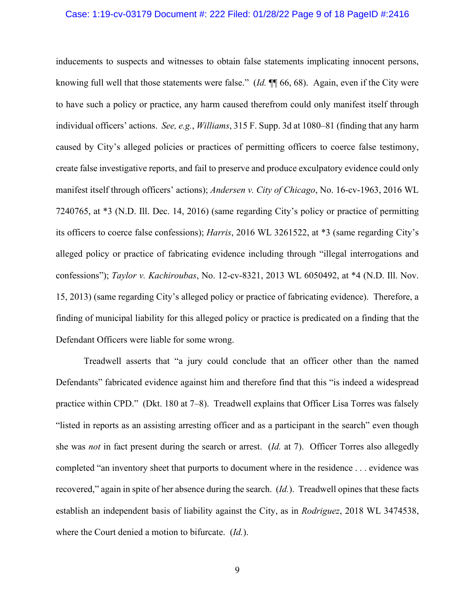#### Case: 1:19-cv-03179 Document #: 222 Filed: 01/28/22 Page 9 of 18 PageID #:2416

inducements to suspects and witnesses to obtain false statements implicating innocent persons, knowing full well that those statements were false." (*Id.* ¶¶ 66, 68). Again, even if the City were to have such a policy or practice, any harm caused therefrom could only manifest itself through individual officers' actions. *See, e.g.*, *Williams*, 315 F. Supp. 3d at 1080–81 (finding that any harm caused by City's alleged policies or practices of permitting officers to coerce false testimony, create false investigative reports, and fail to preserve and produce exculpatory evidence could only manifest itself through officers' actions); *Andersen v. City of Chicago*, No. 16-cv-1963, 2016 WL 7240765, at \*3 (N.D. Ill. Dec. 14, 2016) (same regarding City's policy or practice of permitting its officers to coerce false confessions); *Harris*, 2016 WL 3261522, at \*3 (same regarding City's alleged policy or practice of fabricating evidence including through "illegal interrogations and confessions"); *Taylor v. Kachiroubas*, No. 12-cv-8321, 2013 WL 6050492, at \*4 (N.D. Ill. Nov. 15, 2013) (same regarding City's alleged policy or practice of fabricating evidence). Therefore, a finding of municipal liability for this alleged policy or practice is predicated on a finding that the Defendant Officers were liable for some wrong.

Treadwell asserts that "a jury could conclude that an officer other than the named Defendants" fabricated evidence against him and therefore find that this "is indeed a widespread practice within CPD." (Dkt. 180 at 7–8). Treadwell explains that Officer Lisa Torres was falsely "listed in reports as an assisting arresting officer and as a participant in the search" even though she was *not* in fact present during the search or arrest. (*Id.* at 7). Officer Torres also allegedly completed "an inventory sheet that purports to document where in the residence . . . evidence was recovered," again in spite of her absence during the search. (*Id.*). Treadwell opines that these facts establish an independent basis of liability against the City, as in *Rodriguez*, 2018 WL 3474538, where the Court denied a motion to bifurcate. (*Id.*).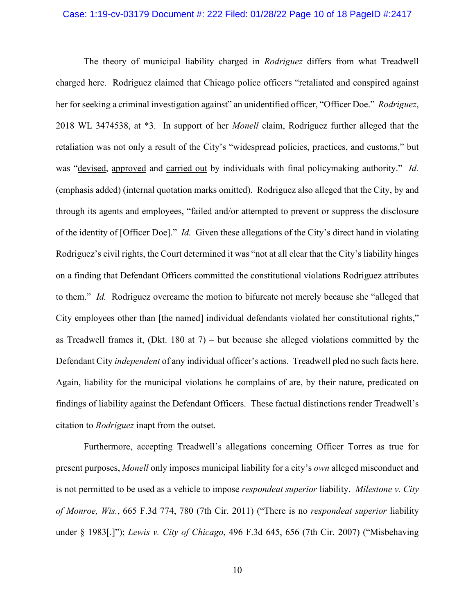### Case: 1:19-cv-03179 Document #: 222 Filed: 01/28/22 Page 10 of 18 PageID #:2417

The theory of municipal liability charged in *Rodriguez* differs from what Treadwell charged here. Rodriguez claimed that Chicago police officers "retaliated and conspired against her for seeking a criminal investigation against" an unidentified officer, "Officer Doe." *Rodriguez*, 2018 WL 3474538, at \*3. In support of her *Monell* claim, Rodriguez further alleged that the retaliation was not only a result of the City's "widespread policies, practices, and customs," but was "devised, approved and carried out by individuals with final policymaking authority." *Id.* (emphasis added) (internal quotation marks omitted). Rodriguez also alleged that the City, by and through its agents and employees, "failed and/or attempted to prevent or suppress the disclosure of the identity of [Officer Doe]." *Id.* Given these allegations of the City's direct hand in violating Rodriguez's civil rights, the Court determined it was "not at all clear that the City's liability hinges on a finding that Defendant Officers committed the constitutional violations Rodriguez attributes to them." *Id.* Rodriguez overcame the motion to bifurcate not merely because she "alleged that City employees other than [the named] individual defendants violated her constitutional rights," as Treadwell frames it, (Dkt. 180 at  $7$ ) – but because she alleged violations committed by the Defendant City *independent* of any individual officer's actions. Treadwell pled no such facts here. Again, liability for the municipal violations he complains of are, by their nature, predicated on findings of liability against the Defendant Officers. These factual distinctions render Treadwell's citation to *Rodriguez* inapt from the outset.

Furthermore, accepting Treadwell's allegations concerning Officer Torres as true for present purposes, *Monell* only imposes municipal liability for a city's *own* alleged misconduct and is not permitted to be used as a vehicle to impose *respondeat superior* liability. *Milestone v. City of Monroe, Wis.*, 665 F.3d 774, 780 (7th Cir. 2011) ("There is no *respondeat superior* liability under § 1983[.]"); *Lewis v. City of Chicago*, 496 F.3d 645, 656 (7th Cir. 2007) ("Misbehaving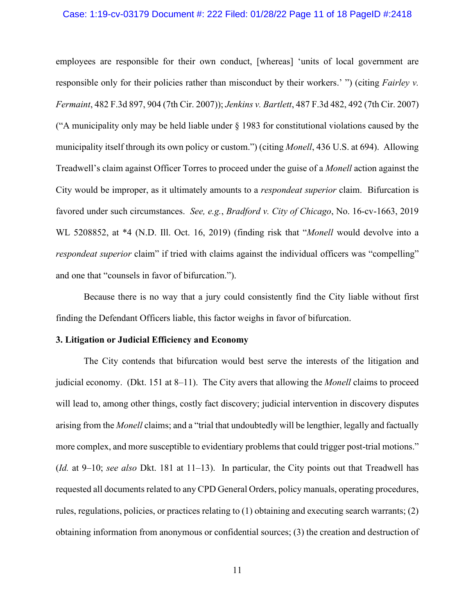### Case: 1:19-cv-03179 Document #: 222 Filed: 01/28/22 Page 11 of 18 PageID #:2418

employees are responsible for their own conduct, [whereas] 'units of local government are responsible only for their policies rather than misconduct by their workers.' ") (citing *Fairley v. Fermaint*, 482 F.3d 897, 904 (7th Cir. 2007)); *Jenkins v. Bartlett*, 487 F.3d 482, 492 (7th Cir. 2007) ("A municipality only may be held liable under § 1983 for constitutional violations caused by the municipality itself through its own policy or custom.") (citing *Monell*, 436 U.S. at 694). Allowing Treadwell's claim against Officer Torres to proceed under the guise of a *Monell* action against the City would be improper, as it ultimately amounts to a *respondeat superior* claim. Bifurcation is favored under such circumstances. *See, e.g.*, *Bradford v. City of Chicago*, No. 16-cv-1663, 2019 WL 5208852, at \*4 (N.D. Ill. Oct. 16, 2019) (finding risk that "*Monell* would devolve into a *respondeat superior* claim" if tried with claims against the individual officers was "compelling" and one that "counsels in favor of bifurcation.").

Because there is no way that a jury could consistently find the City liable without first finding the Defendant Officers liable, this factor weighs in favor of bifurcation.

#### **3. Litigation or Judicial Efficiency and Economy**

The City contends that bifurcation would best serve the interests of the litigation and judicial economy. (Dkt. 151 at 8–11). The City avers that allowing the *Monell* claims to proceed will lead to, among other things, costly fact discovery; judicial intervention in discovery disputes arising from the *Monell* claims; and a "trial that undoubtedly will be lengthier, legally and factually more complex, and more susceptible to evidentiary problems that could trigger post-trial motions." (*Id.* at 9–10; *see also* Dkt. 181 at 11–13). In particular, the City points out that Treadwell has requested all documents related to any CPD General Orders, policy manuals, operating procedures, rules, regulations, policies, or practices relating to (1) obtaining and executing search warrants; (2) obtaining information from anonymous or confidential sources; (3) the creation and destruction of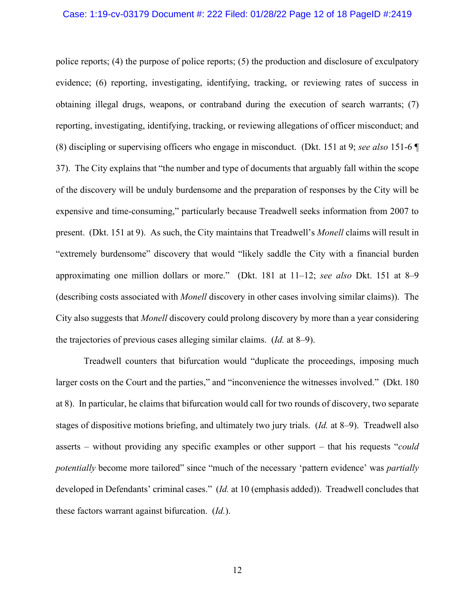#### Case: 1:19-cv-03179 Document #: 222 Filed: 01/28/22 Page 12 of 18 PageID #:2419

police reports; (4) the purpose of police reports; (5) the production and disclosure of exculpatory evidence; (6) reporting, investigating, identifying, tracking, or reviewing rates of success in obtaining illegal drugs, weapons, or contraband during the execution of search warrants; (7) reporting, investigating, identifying, tracking, or reviewing allegations of officer misconduct; and (8) discipling or supervising officers who engage in misconduct. (Dkt. 151 at 9; *see also* 151-6 ¶ 37). The City explains that "the number and type of documents that arguably fall within the scope of the discovery will be unduly burdensome and the preparation of responses by the City will be expensive and time-consuming," particularly because Treadwell seeks information from 2007 to present. (Dkt. 151 at 9). As such, the City maintains that Treadwell's *Monell* claims will result in "extremely burdensome" discovery that would "likely saddle the City with a financial burden approximating one million dollars or more." (Dkt. 181 at 11–12; *see also* Dkt. 151 at 8–9 (describing costs associated with *Monell* discovery in other cases involving similar claims)). The City also suggests that *Monell* discovery could prolong discovery by more than a year considering the trajectories of previous cases alleging similar claims. (*Id.* at 8–9).

Treadwell counters that bifurcation would "duplicate the proceedings, imposing much larger costs on the Court and the parties," and "inconvenience the witnesses involved." (Dkt. 180 at 8). In particular, he claims that bifurcation would call for two rounds of discovery, two separate stages of dispositive motions briefing, and ultimately two jury trials. (*Id.* at 8–9). Treadwell also asserts – without providing any specific examples or other support – that his requests "*could potentially* become more tailored" since "much of the necessary 'pattern evidence' was *partially* developed in Defendants' criminal cases." (*Id.* at 10 (emphasis added)). Treadwell concludes that these factors warrant against bifurcation. (*Id.*).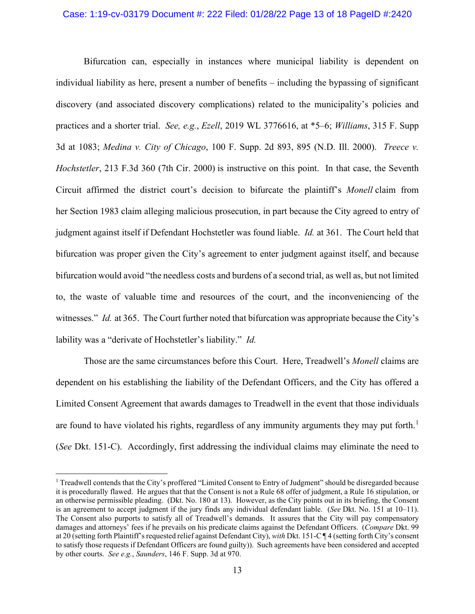### Case: 1:19-cv-03179 Document #: 222 Filed: 01/28/22 Page 13 of 18 PageID #:2420

Bifurcation can, especially in instances where municipal liability is dependent on individual liability as here, present a number of benefits – including the bypassing of significant discovery (and associated discovery complications) related to the municipality's policies and practices and a shorter trial. *See, e.g.*, *Ezell*, 2019 WL 3776616, at \*5–6; *Williams*, 315 F. Supp 3d at 1083; *Medina v. City of Chicago*, 100 F. Supp. 2d 893, 895 (N.D. Ill. 2000). *Treece v. Hochstetler*, 213 F.3d 360 (7th Cir. 2000) is instructive on this point. In that case, the Seventh Circuit affirmed the district court's decision to bifurcate the plaintiff's *Monell* claim from her Section 1983 claim alleging malicious prosecution, in part because the City agreed to entry of judgment against itself if Defendant Hochstetler was found liable. *Id.* at 361. The Court held that bifurcation was proper given the City's agreement to enter judgment against itself, and because bifurcation would avoid "the needless costs and burdens of a second trial, as well as, but not limited to, the waste of valuable time and resources of the court, and the inconveniencing of the witnesses." *Id.* at 365. The Court further noted that bifurcation was appropriate because the City's lability was a "derivate of Hochstetler's liability." *Id.*

Those are the same circumstances before this Court. Here, Treadwell's *Monell* claims are dependent on his establishing the liability of the Defendant Officers, and the City has offered a Limited Consent Agreement that awards damages to Treadwell in the event that those individuals are found to have violated his rights, regardless of any immunity arguments they may put forth.<sup>[1](#page-12-0)</sup> (*See* Dkt. 151-C). Accordingly, first addressing the individual claims may eliminate the need to

<span id="page-12-0"></span><sup>1</sup> Treadwell contends that the City's proffered "Limited Consent to Entry of Judgment" should be disregarded because it is procedurally flawed. He argues that that the Consent is not a Rule 68 offer of judgment, a Rule 16 stipulation, or an otherwise permissible pleading. (Dkt. No. 180 at 13). However, as the City points out in its briefing, the Consent is an agreement to accept judgment if the jury finds any individual defendant liable. (*See* Dkt. No. 151 at 10–11). The Consent also purports to satisfy all of Treadwell's demands. It assures that the City will pay compensatory damages and attorneys' fees if he prevails on his predicate claims against the Defendant Officers. (*Compare* Dkt. 99 at 20 (setting forth Plaintiff's requested relief against Defendant City), *with* Dkt. 151-C ¶ 4 (setting forth City's consent to satisfy those requests if Defendant Officers are found guilty)). Such agreements have been considered and accepted by other courts. *See e.g.*, *Saunders*, 146 F. Supp. 3d at 970.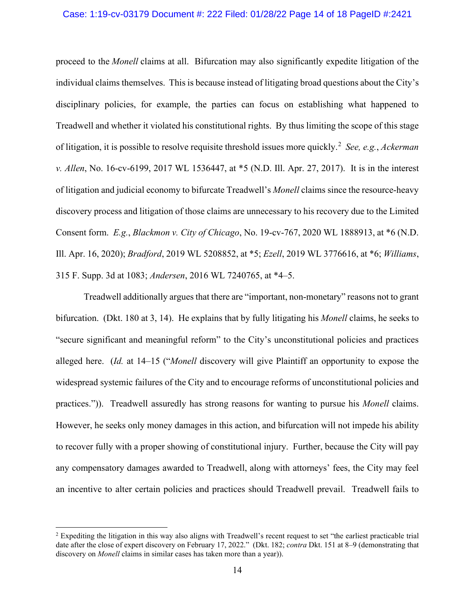### Case: 1:19-cv-03179 Document #: 222 Filed: 01/28/22 Page 14 of 18 PageID #:2421

proceed to the *Monell* claims at all. Bifurcation may also significantly expedite litigation of the individual claims themselves. This is because instead of litigating broad questions about the City's disciplinary policies, for example, the parties can focus on establishing what happened to Treadwell and whether it violated his constitutional rights. By thus limiting the scope of this stage of litigation, it is possible to resolve requisite threshold issues more quickly.[2](#page-13-0) *See, e.g.*, *Ackerman v. Allen*, No. 16-cv-6199, 2017 WL 1536447, at \*5 (N.D. Ill. Apr. 27, 2017). It is in the interest of litigation and judicial economy to bifurcate Treadwell's *Monell* claims since the resource-heavy discovery process and litigation of those claims are unnecessary to his recovery due to the Limited Consent form. *E.g.*, *Blackmon v. City of Chicago*, No. 19-cv-767, 2020 WL 1888913, at \*6 (N.D. Ill. Apr. 16, 2020); *Bradford*, 2019 WL 5208852, at \*5; *Ezell*, 2019 WL 3776616, at \*6; *Williams*, 315 F. Supp. 3d at 1083; *Andersen*, 2016 WL 7240765, at \*4–5.

Treadwell additionally argues that there are "important, non-monetary" reasons not to grant bifurcation. (Dkt. 180 at 3, 14). He explains that by fully litigating his *Monell* claims, he seeks to "secure significant and meaningful reform" to the City's unconstitutional policies and practices alleged here. (*Id.* at 14–15 ("*Monell* discovery will give Plaintiff an opportunity to expose the widespread systemic failures of the City and to encourage reforms of unconstitutional policies and practices.")). Treadwell assuredly has strong reasons for wanting to pursue his *Monell* claims. However, he seeks only money damages in this action, and bifurcation will not impede his ability to recover fully with a proper showing of constitutional injury. Further, because the City will pay any compensatory damages awarded to Treadwell, along with attorneys' fees, the City may feel an incentive to alter certain policies and practices should Treadwell prevail. Treadwell fails to

<span id="page-13-0"></span><sup>&</sup>lt;sup>2</sup> Expediting the litigation in this way also aligns with Treadwell's recent request to set "the earliest practicable trial date after the close of expert discovery on February 17, 2022." (Dkt. 182; *contra* Dkt. 151 at 8–9 (demonstrating that discovery on *Monell* claims in similar cases has taken more than a year)).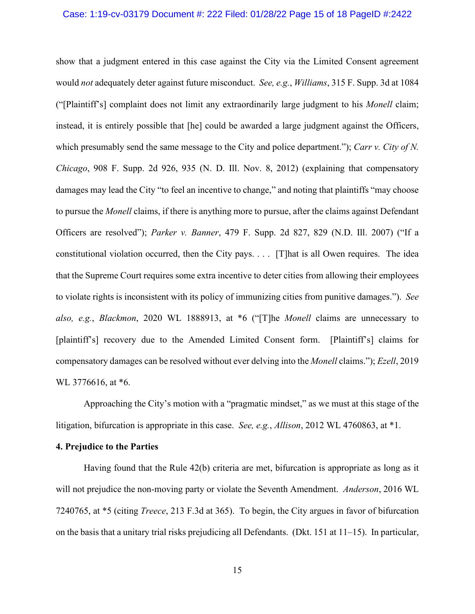#### Case: 1:19-cv-03179 Document #: 222 Filed: 01/28/22 Page 15 of 18 PageID #:2422

show that a judgment entered in this case against the City via the Limited Consent agreement would *not* adequately deter against future misconduct. *See, e.g.*, *Williams*, 315 F. Supp. 3d at 1084 ("[Plaintiff's] complaint does not limit any extraordinarily large judgment to his *Monell* claim; instead, it is entirely possible that [he] could be awarded a large judgment against the Officers, which presumably send the same message to the City and police department."); *Carr v. City of N. Chicago*, 908 F. Supp. 2d 926, 935 (N. D. Ill. Nov. 8, 2012) (explaining that compensatory damages may lead the City "to feel an incentive to change," and noting that plaintiffs "may choose to pursue the *Monell* claims, if there is anything more to pursue, after the claims against Defendant Officers are resolved"); *Parker v. Banner*, 479 F. Supp. 2d 827, 829 (N.D. Ill. 2007) ("If a constitutional violation occurred, then the City pays. . . . [T]hat is all Owen requires. The idea that the Supreme Court requires some extra incentive to deter cities from allowing their employees to violate rights is inconsistent with its policy of immunizing cities from punitive damages."). *See also, e.g.*, *Blackmon*, 2020 WL 1888913, at \*6 ("[T]he *Monell* claims are unnecessary to [plaintiff's] recovery due to the Amended Limited Consent form. [Plaintiff's] claims for compensatory damages can be resolved without ever delving into the *Monell* claims."); *Ezell*, 2019 WL 3776616, at  $*6$ .

Approaching the City's motion with a "pragmatic mindset," as we must at this stage of the litigation, bifurcation is appropriate in this case. *See, e.g.*, *Allison*, 2012 WL 4760863, at \*1.

### **4. Prejudice to the Parties**

Having found that the Rule 42(b) criteria are met, bifurcation is appropriate as long as it will not prejudice the non-moving party or violate the Seventh Amendment. *Anderson*, 2016 WL 7240765, at \*5 (citing *Treece*, 213 F.3d at 365). To begin, the City argues in favor of bifurcation on the basis that a unitary trial risks prejudicing all Defendants. (Dkt. 151 at 11–15). In particular,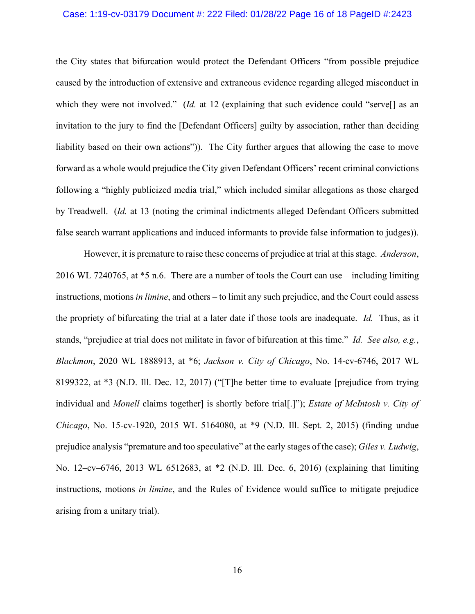### Case: 1:19-cv-03179 Document #: 222 Filed: 01/28/22 Page 16 of 18 PageID #:2423

the City states that bifurcation would protect the Defendant Officers "from possible prejudice caused by the introduction of extensive and extraneous evidence regarding alleged misconduct in which they were not involved." (*Id.* at 12 (explaining that such evidence could "serve<sup>[]</sup> as an invitation to the jury to find the [Defendant Officers] guilty by association, rather than deciding liability based on their own actions")). The City further argues that allowing the case to move forward as a whole would prejudice the City given Defendant Officers' recent criminal convictions following a "highly publicized media trial," which included similar allegations as those charged by Treadwell. (*Id.* at 13 (noting the criminal indictments alleged Defendant Officers submitted false search warrant applications and induced informants to provide false information to judges)).

However, it is premature to raise these concerns of prejudice at trial at this stage. *Anderson*, 2016 WL 7240765, at \*5 n.6. There are a number of tools the Court can use – including limiting instructions, motions *in limine*, and others – to limit any such prejudice, and the Court could assess the propriety of bifurcating the trial at a later date if those tools are inadequate. *Id.* Thus, as it stands, "prejudice at trial does not militate in favor of bifurcation at this time." *Id. See also, e.g.*, *Blackmon*, 2020 WL 1888913, at \*6; *Jackson v. City of Chicago*, No. 14-cv-6746, 2017 WL 8199322, at \*3 (N.D. Ill. Dec. 12, 2017) ("[T]he better time to evaluate [prejudice from trying individual and *Monell* claims together] is shortly before trial[.]"); *Estate of McIntosh v. City of Chicago*, No. 15-cv-1920, 2015 WL 5164080, at \*9 (N.D. Ill. Sept. 2, 2015) (finding undue prejudice analysis "premature and too speculative" at the early stages of the case); *Giles v. Ludwig*, No. 12–cv–6746, 2013 WL 6512683, at \*2 (N.D. Ill. Dec. 6, 2016) (explaining that limiting instructions, motions *in limine*, and the Rules of Evidence would suffice to mitigate prejudice arising from a unitary trial).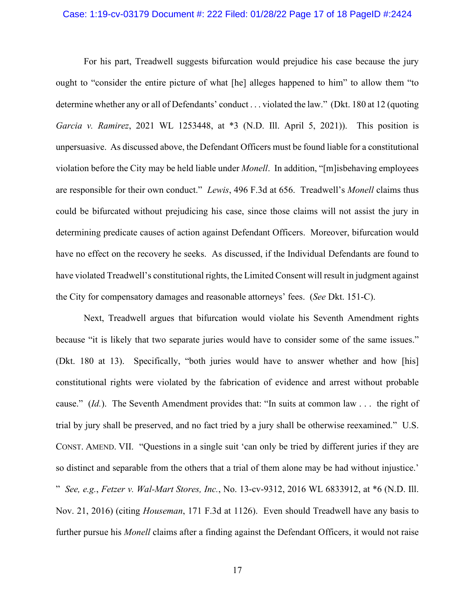### Case: 1:19-cv-03179 Document #: 222 Filed: 01/28/22 Page 17 of 18 PageID #:2424

For his part, Treadwell suggests bifurcation would prejudice his case because the jury ought to "consider the entire picture of what [he] alleges happened to him" to allow them "to determine whether any or all of Defendants' conduct . . . violated the law." (Dkt. 180 at 12 (quoting *Garcia v. Ramirez*, 2021 WL 1253448, at \*3 (N.D. Ill. April 5, 2021)). This position is unpersuasive. As discussed above, the Defendant Officers must be found liable for a constitutional violation before the City may be held liable under *Monell*. In addition, "[m]isbehaving employees are responsible for their own conduct." *Lewis*, 496 F.3d at 656. Treadwell's *Monell* claims thus could be bifurcated without prejudicing his case, since those claims will not assist the jury in determining predicate causes of action against Defendant Officers. Moreover, bifurcation would have no effect on the recovery he seeks. As discussed, if the Individual Defendants are found to have violated Treadwell's constitutional rights, the Limited Consent will result in judgment against the City for compensatory damages and reasonable attorneys' fees. (*See* Dkt. 151-C).

Next, Treadwell argues that bifurcation would violate his Seventh Amendment rights because "it is likely that two separate juries would have to consider some of the same issues." (Dkt. 180 at 13). Specifically, "both juries would have to answer whether and how [his] constitutional rights were violated by the fabrication of evidence and arrest without probable cause." (*Id.*). The Seventh Amendment provides that: "In suits at common law . . . the right of trial by jury shall be preserved, and no fact tried by a jury shall be otherwise reexamined." U.S. CONST. AMEND. VII. "Questions in a single suit 'can only be tried by different juries if they are so distinct and separable from the others that a trial of them alone may be had without injustice.' " *See, e.g.*, *Fetzer v. Wal-Mart Stores, Inc.*, No. 13-cv-9312, 2016 WL 6833912, at \*6 (N.D. Ill. Nov. 21, 2016) (citing *Houseman*, 171 F.3d at 1126). Even should Treadwell have any basis to further pursue his *Monell* claims after a finding against the Defendant Officers, it would not raise